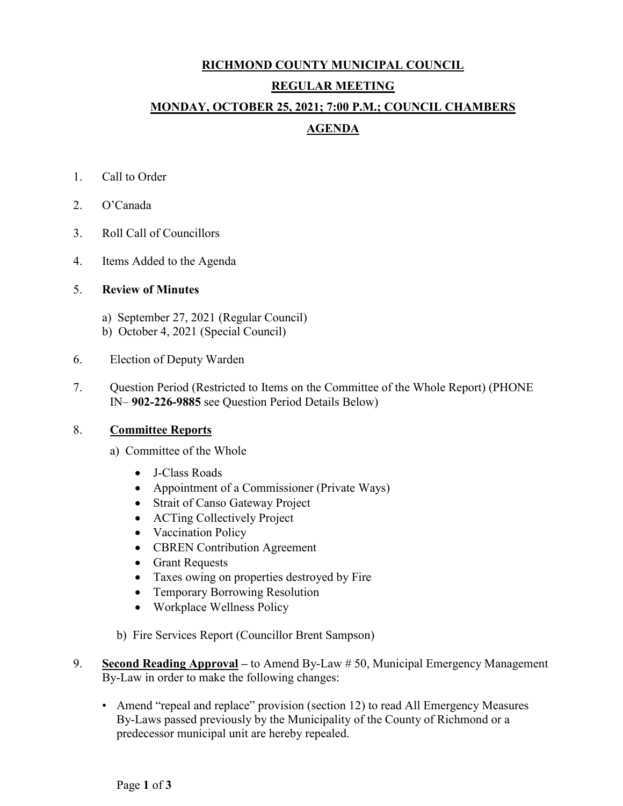# **RICHMOND COUNTY MUNICIPAL COUNCIL REGULAR MEETING MONDAY, OCTOBER 25, 2021; 7:00 P.M.; COUNCIL CHAMBERS AGENDA**

- 1. Call to Order
- 2. O'Canada
- 3. Roll Call of Councillors
- 4. Items Added to the Agenda

# 5. **Review of Minutes**

- a) September 27, 2021 (Regular Council)
- b) October 4, 2021 (Special Council)
- 6. Election of Deputy Warden
- 7. Question Period (Restricted to Items on the Committee of the Whole Report) (PHONE IN– **902-226-9885** see Question Period Details Below)

# 8. **Committee Reports**

- a) Committee of the Whole
	- J-Class Roads
	- Appointment of a Commissioner (Private Ways)
	- Strait of Canso Gateway Project
	- ACTing Collectively Project
	- Vaccination Policy
	- CBREN Contribution Agreement
	- Grant Requests
	- Taxes owing on properties destroyed by Fire
	- Temporary Borrowing Resolution
	- Workplace Wellness Policy
- b) Fire Services Report (Councillor Brent Sampson)
- 9. **Second Reading Approval –** to Amend By-Law # 50, Municipal Emergency Management By-Law in order to make the following changes:
	- Amend "repeal and replace" provision (section 12) to read All Emergency Measures By-Laws passed previously by the Municipality of the County of Richmond or a predecessor municipal unit are hereby repealed.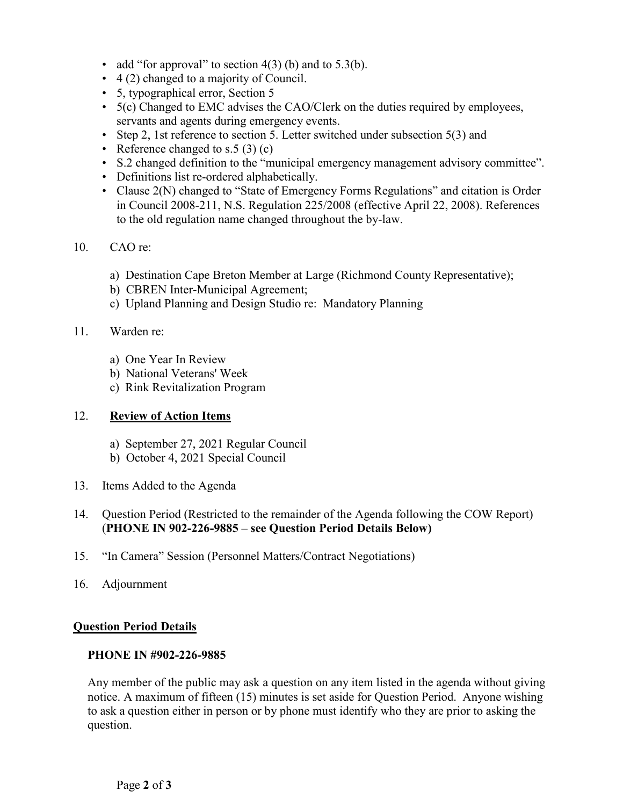- add "for approval" to section  $4(3)$  (b) and to  $5.3(b)$ .
- 4 (2) changed to a majority of Council.
- 5, typographical error, Section 5
- 5(c) Changed to EMC advises the CAO/Clerk on the duties required by employees, servants and agents during emergency events.
- Step 2, 1st reference to section 5. Letter switched under subsection 5(3) and
- Reference changed to s.5  $(3)(c)$
- S.2 changed definition to the "municipal emergency management advisory committee".
- Definitions list re-ordered alphabetically.
- Clause 2(N) changed to "State of Emergency Forms Regulations" and citation is Order in Council 2008-211, N.S. Regulation 225/2008 (effective April 22, 2008). References to the old regulation name changed throughout the by-law.

### 10. CAO re:

- a) Destination Cape Breton Member at Large (Richmond County Representative);
- b) CBREN Inter-Municipal Agreement;
- c) Upland Planning and Design Studio re: Mandatory Planning

## 11. Warden re:

- a) One Year In Review
- b) National Veterans' Week
- c) Rink Revitalization Program

## 12. **Review of Action Items**

- a) September 27, 2021 Regular Council
- b) October 4, 2021 Special Council
- 13. Items Added to the Agenda

# 14. Question Period (Restricted to the remainder of the Agenda following the COW Report) (**PHONE IN 902-226-9885 – see Question Period Details Below)**

- 15. "In Camera" Session (Personnel Matters/Contract Negotiations)
- 16. Adjournment

### **Question Period Details**

### **PHONE IN #902-226-9885**

Any member of the public may ask a question on any item listed in the agenda without giving notice. A maximum of fifteen (15) minutes is set aside for Question Period. Anyone wishing to ask a question either in person or by phone must identify who they are prior to asking the question.